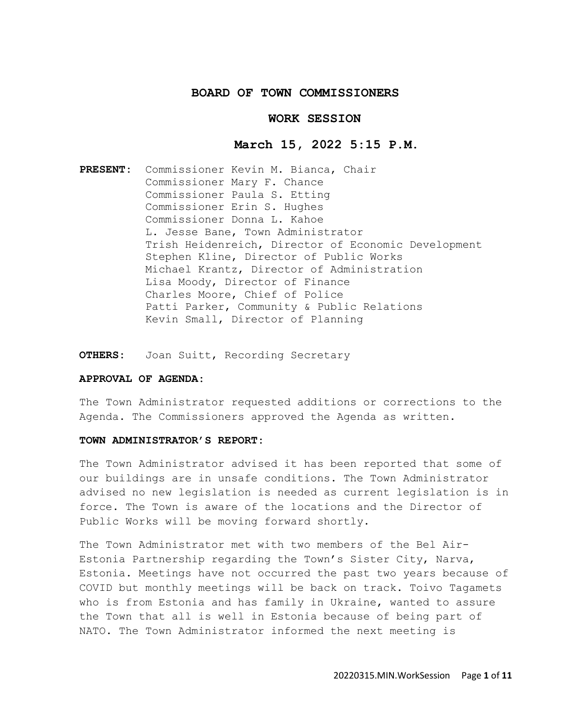## **BOARD OF TOWN COMMISSIONERS**

## **WORK SESSION**

### **March 15, 2022 5:15 P.M.**

**PRESENT:** Commissioner Kevin M. Bianca, Chair Commissioner Mary F. Chance Commissioner Paula S. Etting Commissioner Erin S. Hughes Commissioner Donna L. Kahoe L. Jesse Bane, Town Administrator Trish Heidenreich, Director of Economic Development Stephen Kline, Director of Public Works Michael Krantz, Director of Administration Lisa Moody, Director of Finance Charles Moore, Chief of Police Patti Parker, Community & Public Relations Kevin Small, Director of Planning

**OTHERS:** Joan Suitt, Recording Secretary

## **APPROVAL OF AGENDA:**

The Town Administrator requested additions or corrections to the Agenda. The Commissioners approved the Agenda as written.

## **TOWN ADMINISTRATOR'S REPORT:**

The Town Administrator advised it has been reported that some of our buildings are in unsafe conditions. The Town Administrator advised no new legislation is needed as current legislation is in force. The Town is aware of the locations and the Director of Public Works will be moving forward shortly.

The Town Administrator met with two members of the Bel Air-Estonia Partnership regarding the Town's Sister City, Narva, Estonia. Meetings have not occurred the past two years because of COVID but monthly meetings will be back on track. Toivo Tagamets who is from Estonia and has family in Ukraine, wanted to assure the Town that all is well in Estonia because of being part of NATO. The Town Administrator informed the next meeting is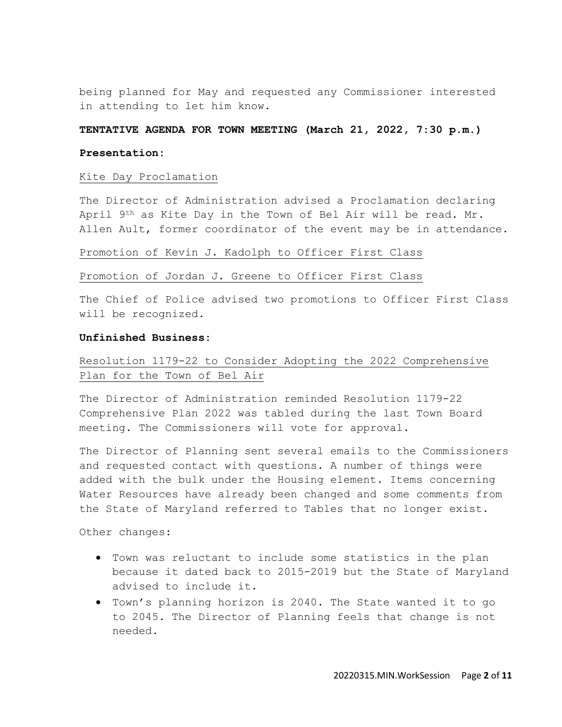being planned for May and requested any Commissioner interested in attending to let him know.

## **TENTATIVE AGENDA FOR TOWN MEETING (March 21, 2022, 7:30 p.m.)**

### **Presentation:**

### Kite Day Proclamation

The Director of Administration advised a Proclamation declaring April 9th as Kite Day in the Town of Bel Air will be read. Mr. Allen Ault, former coordinator of the event may be in attendance.

# Promotion of Kevin J. Kadolph to Officer First Class

# Promotion of Jordan J. Greene to Officer First Class

The Chief of Police advised two promotions to Officer First Class will be recognized.

### **Unfinished Business:**

# Resolution 1179-22 to Consider Adopting the 2022 Comprehensive Plan for the Town of Bel Air

The Director of Administration reminded Resolution 1179-22 Comprehensive Plan 2022 was tabled during the last Town Board meeting. The Commissioners will vote for approval.

The Director of Planning sent several emails to the Commissioners and requested contact with questions. A number of things were added with the bulk under the Housing element. Items concerning Water Resources have already been changed and some comments from the State of Maryland referred to Tables that no longer exist.

Other changes:

- Town was reluctant to include some statistics in the plan because it dated back to 2015-2019 but the State of Maryland advised to include it.
- Town's planning horizon is 2040. The State wanted it to go to 2045. The Director of Planning feels that change is not needed.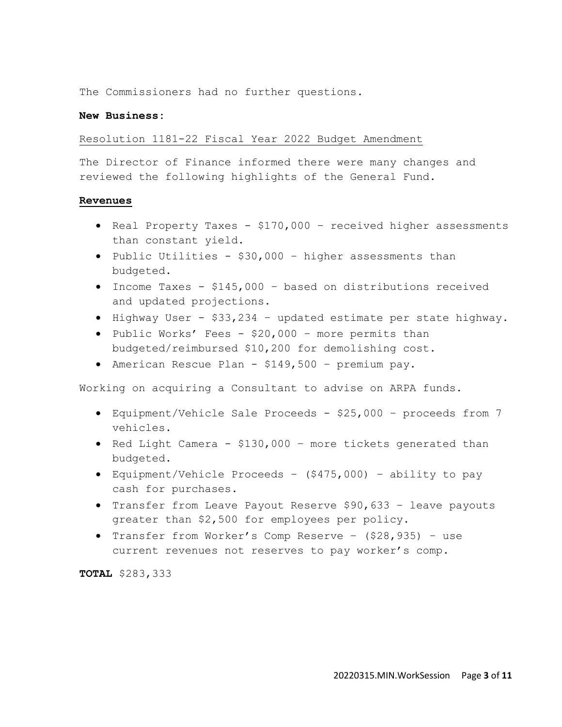The Commissioners had no further questions.

## **New Business:**

### Resolution 1181-22 Fiscal Year 2022 Budget Amendment

The Director of Finance informed there were many changes and reviewed the following highlights of the General Fund.

### **Revenues**

- Real Property Taxes \$170,000 received higher assessments than constant yield.
- Public Utilities \$30,000 higher assessments than budgeted.
- Income Taxes \$145,000 based on distributions received and updated projections.
- Highway User \$33,234 updated estimate per state highway.
- Public Works' Fees \$20,000 more permits than budgeted/reimbursed \$10,200 for demolishing cost.
- American Rescue Plan \$149,500 premium pay.

Working on acquiring a Consultant to advise on ARPA funds.

- Equipment/Vehicle Sale Proceeds \$25,000 proceeds from 7 vehicles.
- Red Light Camera \$130,000 more tickets generated than budgeted.
- Equipment/Vehicle Proceeds (\$475,000) ability to pay cash for purchases.
- Transfer from Leave Payout Reserve \$90,633 leave payouts greater than \$2,500 for employees per policy.
- Transfer from Worker's Comp Reserve (\$28,935) use current revenues not reserves to pay worker's comp.

**TOTAL** \$283,333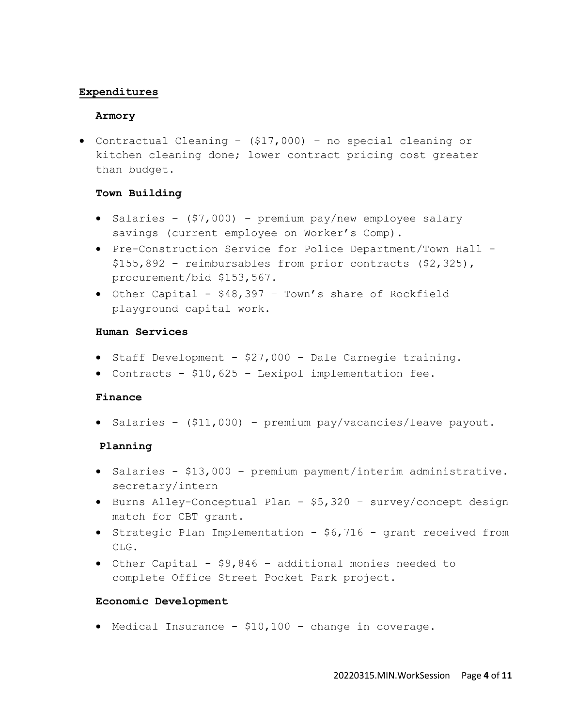# **Expenditures**

## **Armory**

• Contractual Cleaning – (\$17,000) – no special cleaning or kitchen cleaning done; lower contract pricing cost greater than budget.

# **Town Building**

- Salaries (\$7,000) premium pay/new employee salary savings (current employee on Worker's Comp).
- Pre-Construction Service for Police Department/Town Hall \$155,892 – reimbursables from prior contracts (\$2,325), procurement/bid \$153,567.
- Other Capital \$48,397 Town's share of Rockfield playground capital work.

# **Human Services**

- Staff Development \$27,000 Dale Carnegie training.
- Contracts \$10,625 Lexipol implementation fee.

# **Finance**

• Salaries – (\$11,000) – premium pay/vacancies/leave payout.

# **Planning**

- Salaries \$13,000 premium payment/interim administrative. secretary/intern
- Burns Alley-Conceptual Plan \$5,320 survey/concept design match for CBT grant.
- Strategic Plan Implementation \$6,716 grant received from CLG.
- Other Capital \$9,846 additional monies needed to complete Office Street Pocket Park project.

# **Economic Development**

• Medical Insurance - \$10,100 – change in coverage.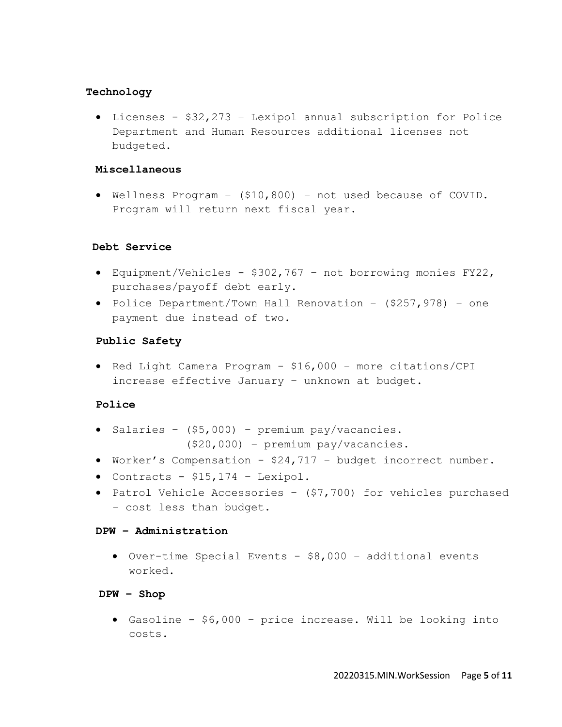# **Technology**

• Licenses - \$32,273 – Lexipol annual subscription for Police Department and Human Resources additional licenses not budgeted.

# **Miscellaneous**

• Wellness Program – (\$10,800) – not used because of COVID. Program will return next fiscal year.

# **Debt Service**

- Equipment/Vehicles \$302,767 not borrowing monies FY22, purchases/payoff debt early.
- Police Department/Town Hall Renovation (\$257,978) one payment due instead of two.

# **Public Safety**

• Red Light Camera Program - \$16,000 – more citations/CPI increase effective January – unknown at budget.

# **Police**

- Salaries (\$5,000) premium pay/vacancies. (\$20,000) – premium pay/vacancies.
- Worker's Compensation \$24,717 budget incorrect number.
- Contracts \$15,174 Lexipol.
- Patrol Vehicle Accessories (\$7,700) for vehicles purchased – cost less than budget.

# **DPW – Administration**

• Over-time Special Events - \$8,000 – additional events worked.

# **DPW – Shop**

• Gasoline - \$6,000 – price increase. Will be looking into costs.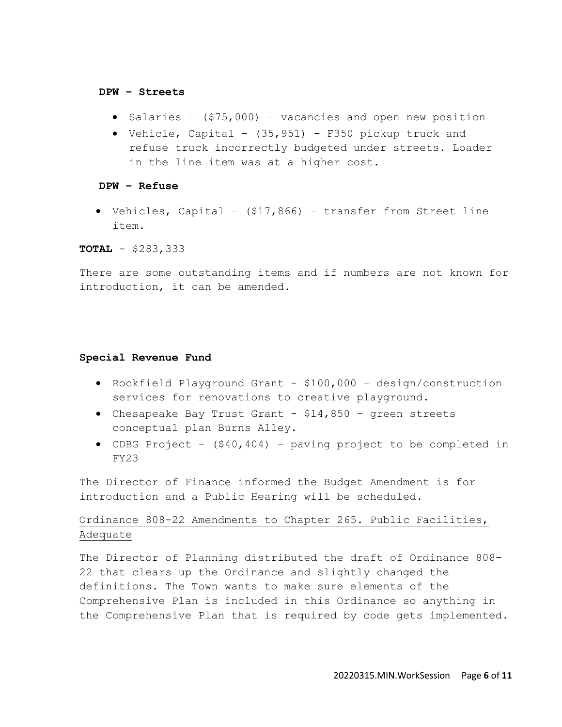#### **DPW – Streets**

- Salaries (\$75,000) vacancies and open new position
- Vehicle, Capital (35,951) F350 pickup truck and refuse truck incorrectly budgeted under streets. Loader in the line item was at a higher cost.

### **DPW – Refuse**

• Vehicles, Capital – (\$17,866) – transfer from Street line item.

**TOTAL** - \$283,333

There are some outstanding items and if numbers are not known for introduction, it can be amended.

## **Special Revenue Fund**

- Rockfield Playground Grant \$100,000 design/construction services for renovations to creative playground.
- Chesapeake Bay Trust Grant \$14,850 green streets conceptual plan Burns Alley.
- CDBG Project (\$40,404) paving project to be completed in FY23

The Director of Finance informed the Budget Amendment is for introduction and a Public Hearing will be scheduled.

# Ordinance 808-22 Amendments to Chapter 265. Public Facilities, Adequate

The Director of Planning distributed the draft of Ordinance 808- 22 that clears up the Ordinance and slightly changed the definitions. The Town wants to make sure elements of the Comprehensive Plan is included in this Ordinance so anything in the Comprehensive Plan that is required by code gets implemented.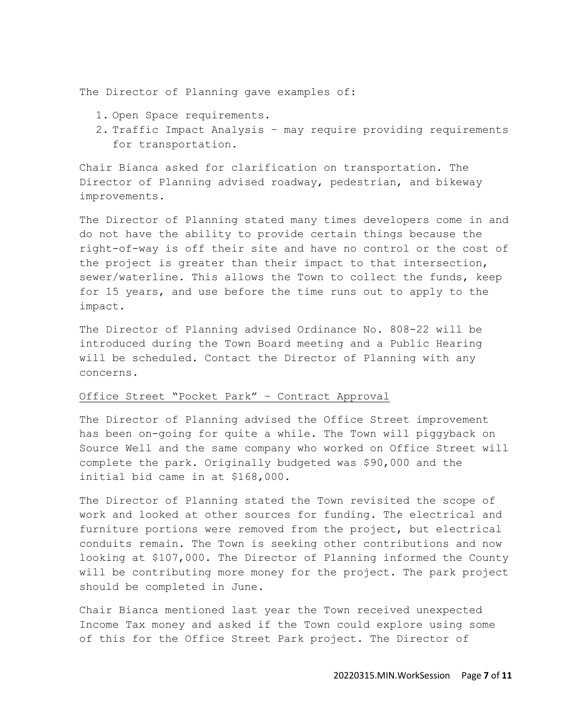The Director of Planning gave examples of:

- 1. Open Space requirements.
- 2. Traffic Impact Analysis may require providing requirements for transportation.

Chair Bianca asked for clarification on transportation. The Director of Planning advised roadway, pedestrian, and bikeway improvements.

The Director of Planning stated many times developers come in and do not have the ability to provide certain things because the right-of-way is off their site and have no control or the cost of the project is greater than their impact to that intersection, sewer/waterline. This allows the Town to collect the funds, keep for 15 years, and use before the time runs out to apply to the impact.

The Director of Planning advised Ordinance No. 808-22 will be introduced during the Town Board meeting and a Public Hearing will be scheduled. Contact the Director of Planning with any concerns.

## Office Street "Pocket Park" – Contract Approval

The Director of Planning advised the Office Street improvement has been on-going for quite a while. The Town will piggyback on Source Well and the same company who worked on Office Street will complete the park. Originally budgeted was \$90,000 and the initial bid came in at \$168,000.

The Director of Planning stated the Town revisited the scope of work and looked at other sources for funding. The electrical and furniture portions were removed from the project, but electrical conduits remain. The Town is seeking other contributions and now looking at \$107,000. The Director of Planning informed the County will be contributing more money for the project. The park project should be completed in June.

Chair Bianca mentioned last year the Town received unexpected Income Tax money and asked if the Town could explore using some of this for the Office Street Park project. The Director of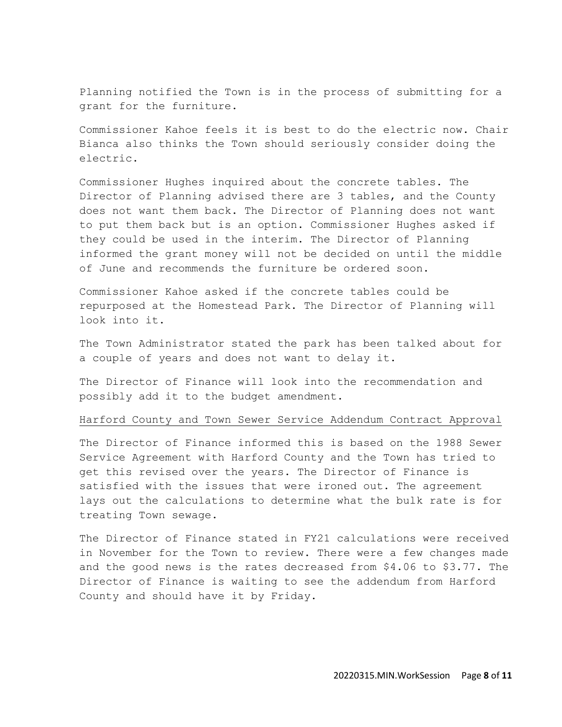Planning notified the Town is in the process of submitting for a grant for the furniture.

Commissioner Kahoe feels it is best to do the electric now. Chair Bianca also thinks the Town should seriously consider doing the electric.

Commissioner Hughes inquired about the concrete tables. The Director of Planning advised there are 3 tables, and the County does not want them back. The Director of Planning does not want to put them back but is an option. Commissioner Hughes asked if they could be used in the interim. The Director of Planning informed the grant money will not be decided on until the middle of June and recommends the furniture be ordered soon.

Commissioner Kahoe asked if the concrete tables could be repurposed at the Homestead Park. The Director of Planning will look into it.

The Town Administrator stated the park has been talked about for a couple of years and does not want to delay it.

The Director of Finance will look into the recommendation and possibly add it to the budget amendment.

### Harford County and Town Sewer Service Addendum Contract Approval

The Director of Finance informed this is based on the 1988 Sewer Service Agreement with Harford County and the Town has tried to get this revised over the years. The Director of Finance is satisfied with the issues that were ironed out. The agreement lays out the calculations to determine what the bulk rate is for treating Town sewage.

The Director of Finance stated in FY21 calculations were received in November for the Town to review. There were a few changes made and the good news is the rates decreased from \$4.06 to \$3.77. The Director of Finance is waiting to see the addendum from Harford County and should have it by Friday.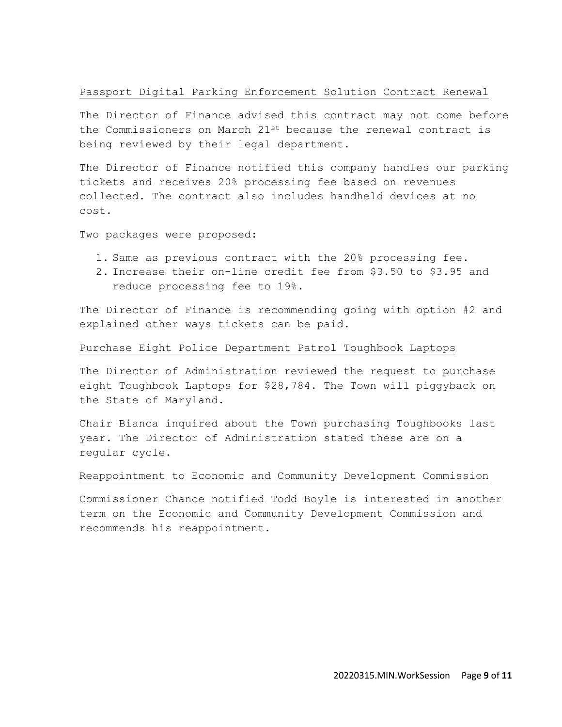# Passport Digital Parking Enforcement Solution Contract Renewal

The Director of Finance advised this contract may not come before the Commissioners on March 21st because the renewal contract is being reviewed by their legal department.

The Director of Finance notified this company handles our parking tickets and receives 20% processing fee based on revenues collected. The contract also includes handheld devices at no cost.

Two packages were proposed:

- 1. Same as previous contract with the 20% processing fee.
- 2. Increase their on-line credit fee from \$3.50 to \$3.95 and reduce processing fee to 19%.

The Director of Finance is recommending going with option #2 and explained other ways tickets can be paid.

## Purchase Eight Police Department Patrol Toughbook Laptops

The Director of Administration reviewed the request to purchase eight Toughbook Laptops for \$28,784. The Town will piggyback on the State of Maryland.

Chair Bianca inquired about the Town purchasing Toughbooks last year. The Director of Administration stated these are on a regular cycle.

# Reappointment to Economic and Community Development Commission

Commissioner Chance notified Todd Boyle is interested in another term on the Economic and Community Development Commission and recommends his reappointment.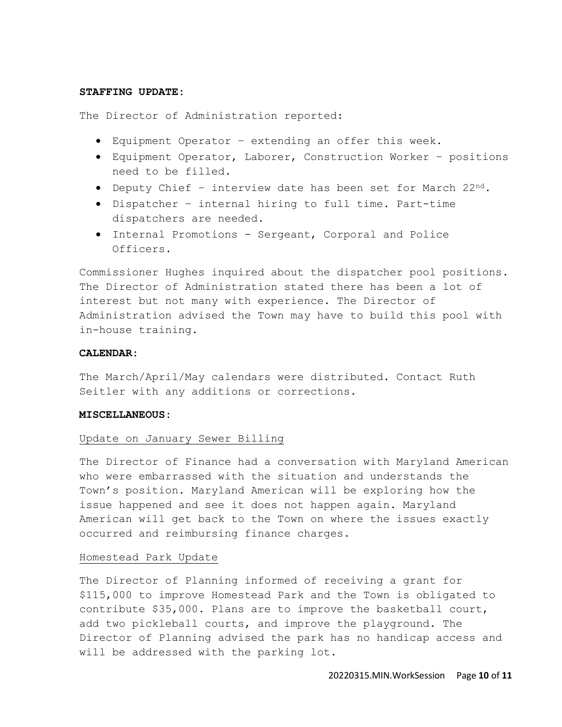## **STAFFING UPDATE:**

The Director of Administration reported:

- Equipment Operator extending an offer this week.
- Equipment Operator, Laborer, Construction Worker positions need to be filled.
- Deputy Chief interview date has been set for March 22nd.
- Dispatcher internal hiring to full time. Part-time dispatchers are needed.
- Internal Promotions Sergeant, Corporal and Police Officers.

Commissioner Hughes inquired about the dispatcher pool positions. The Director of Administration stated there has been a lot of interest but not many with experience. The Director of Administration advised the Town may have to build this pool with in-house training.

# **CALENDAR:**

The March/April/May calendars were distributed. Contact Ruth Seitler with any additions or corrections.

### **MISCELLANEOUS:**

## Update on January Sewer Billing

The Director of Finance had a conversation with Maryland American who were embarrassed with the situation and understands the Town's position. Maryland American will be exploring how the issue happened and see it does not happen again. Maryland American will get back to the Town on where the issues exactly occurred and reimbursing finance charges.

### Homestead Park Update

The Director of Planning informed of receiving a grant for \$115,000 to improve Homestead Park and the Town is obligated to contribute \$35,000. Plans are to improve the basketball court, add two pickleball courts, and improve the playground. The Director of Planning advised the park has no handicap access and will be addressed with the parking lot.